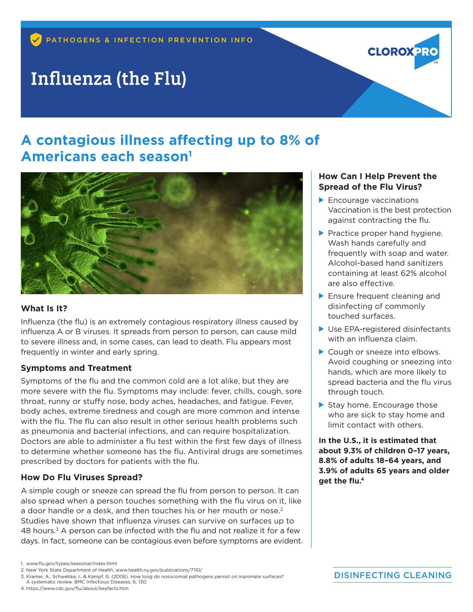# Influenza (the Flu)

## **A contagious illness affecting up to 8% of Americans each season1**



#### **What Is It?**

Influenza (the flu) is an extremely contagious respiratory illness caused by influenza A or B viruses. It spreads from person to person, can cause mild to severe illness and, in some cases, can lead to death. Flu appears most frequently in winter and early spring.

#### **Symptoms and Treatment**

Symptoms of the flu and the common cold are a lot alike, but they are more severe with the flu. Symptoms may include: fever, chills, cough, sore throat, runny or stuffy nose, body aches, headaches, and fatigue. Fever, body aches, extreme tiredness and cough are more common and intense with the flu. The flu can also result in other serious health problems such as pneumonia and bacterial infections, and can require hospitalization. Doctors are able to administer a flu test within the first few days of illness to determine whether someone has the flu. Antiviral drugs are sometimes prescribed by doctors for patients with the flu.

#### **How Do Flu Viruses Spread?**

A simple cough or sneeze can spread the flu from person to person. It can also spread when a person touches something with the flu virus on it, like a door handle or a desk, and then touches his or her mouth or nose.<sup>2</sup> Studies have shown that influenza viruses can survive on surfaces up to 48 hours.3 A person can be infected with the flu and not realize it for a few days. In fact, someone can be contagious even before symptoms are evident.

4. https://www.cdc.gov/flu/about/keyfacts.htm

#### **How Can I Help Prevent the Spread of the Flu Virus?**

**Encourage vaccinations** Vaccination is the best protection against contracting the flu.

**CLOROX 21:** 

- Practice proper hand hygiene. Wash hands carefully and frequently with soap and water. Alcohol-based hand sanitizers containing at least 62% alcohol are also effective.
- **Ensure frequent cleaning and** disinfecting of commonly touched surfaces.
- ▶ Use EPA-registered disinfectants with an influenza claim.
- Cough or sneeze into elbows. Avoid coughing or sneezing into hands, which are more likely to spread bacteria and the flu virus through touch.
- Stay home. Encourage those who are sick to stay home and limit contact with others.

**In the U.S., it is estimated that about 9.3% of children 0–17 years, 8.8% of adults 18–64 years, and 3.9% of adults 65 years and older get the flu.4**

<sup>1.</sup> www.flu.gov/types/seasonal/index.html

<sup>2.</sup> New York State Department of Health, www.health.ny.gov/publications/7110/

<sup>3.</sup> Kramer, A., Schwebke, I., & Kampf, G. (2006). How long do nosocomial pathogens persist on inanimate surfaces? A systematic review. BMC Infectious Diseases, 6, 130.